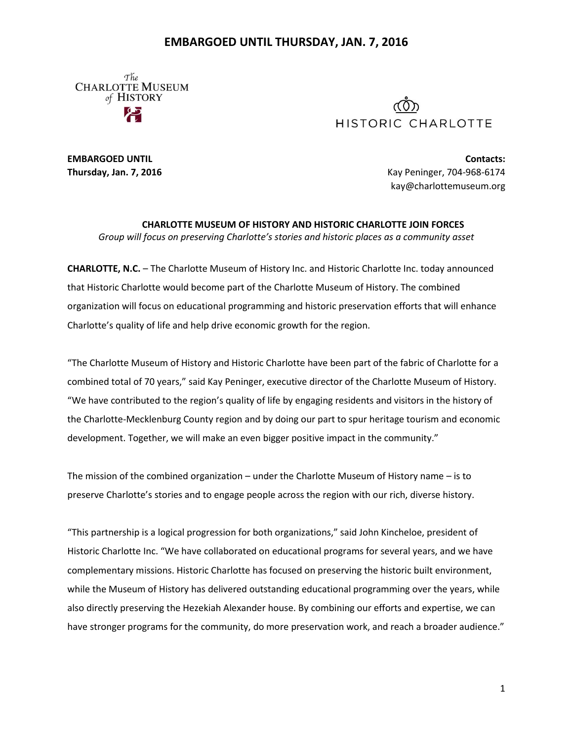## **EMBARGOED UNTIL THURSDAY, JAN. 7, 2016**

The **CHARLOTTE MUSEUM** of HISTORY



**EMBARGOED UNTIL Contacts: Thursday, Jan. 7, 2016** Kay Peninger, 704-968-6174 kay@charlottemuseum.org

**CHARLOTTE MUSEUM OF HISTORY AND HISTORIC CHARLOTTE JOIN FORCES** *Group will focus on preserving Charlotte's stories and historic places as a community asset*

**CHARLOTTE, N.C.** – The Charlotte Museum of History Inc. and Historic Charlotte Inc. today announced that Historic Charlotte would become part of the Charlotte Museum of History. The combined organization will focus on educational programming and historic preservation efforts that will enhance Charlotte's quality of life and help drive economic growth for the region.

"The Charlotte Museum of History and Historic Charlotte have been part of the fabric of Charlotte for a combined total of 70 years," said Kay Peninger, executive director of the Charlotte Museum of History. "We have contributed to the region's quality of life by engaging residents and visitors in the history of the Charlotte-Mecklenburg County region and by doing our part to spur heritage tourism and economic development. Together, we will make an even bigger positive impact in the community."

The mission of the combined organization – under the Charlotte Museum of History name – is to preserve Charlotte's stories and to engage people across the region with our rich, diverse history.

"This partnership is a logical progression for both organizations," said John Kincheloe, president of Historic Charlotte Inc. "We have collaborated on educational programs for several years, and we have complementary missions. Historic Charlotte has focused on preserving the historic built environment, while the Museum of History has delivered outstanding educational programming over the years, while also directly preserving the Hezekiah Alexander house. By combining our efforts and expertise, we can have stronger programs for the community, do more preservation work, and reach a broader audience."